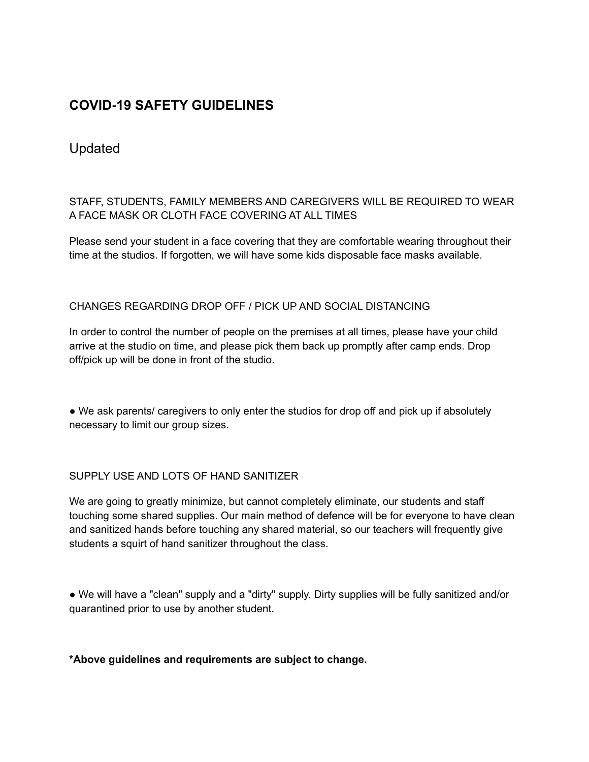# **COVID-19 SAFETY GUIDELINES**

## Updated

### STAFF, STUDENTS, FAMILY MEMBERS AND CAREGIVERS WILL BE REQUIRED TO WEAR A FACE MASK OR CLOTH FACE COVERING AT ALL TIMES

Please send your student in a face covering that they are comfortable wearing throughout their time at the studios. If forgotten, we will have some kids disposable face masks available.

### CHANGES REGARDING DROP OFF / PICK UP AND SOCIAL DISTANCING

In order to control the number of people on the premises at all times, please have your child arrive at the studio on time, and please pick them back up promptly after camp ends. Drop off/pick up will be done in front of the studio.

• We ask parents/ caregivers to only enter the studios for drop off and pick up if absolutely necessary to limit our group sizes.

#### SUPPLY USE AND LOTS OF HAND SANITIZER

We are going to greatly minimize, but cannot completely eliminate, our students and staff touching some shared supplies. Our main method of defence will be for everyone to have clean and sanitized hands before touching any shared material, so our teachers will frequently give students a squirt of hand sanitizer throughout the class.

● We will have a "clean" supply and a "dirty" supply. Dirty supplies will be fully sanitized and/or quarantined prior to use by another student.

#### **\*Above guidelines and requirements are subject to change.**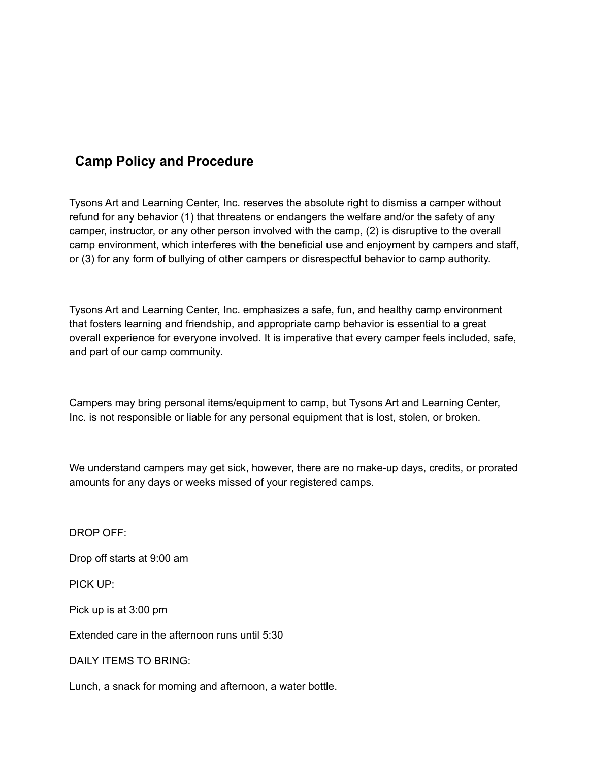## **Camp Policy and Procedure**

Tysons Art and Learning Center, Inc. reserves the absolute right to dismiss a camper without refund for any behavior (1) that threatens or endangers the welfare and/or the safety of any camper, instructor, or any other person involved with the camp, (2) is disruptive to the overall camp environment, which interferes with the beneficial use and enjoyment by campers and staff, or (3) for any form of bullying of other campers or disrespectful behavior to camp authority.

Tysons Art and Learning Center, Inc. emphasizes a safe, fun, and healthy camp environment that fosters learning and friendship, and appropriate camp behavior is essential to a great overall experience for everyone involved. It is imperative that every camper feels included, safe, and part of our camp community.

Campers may bring personal items/equipment to camp, but Tysons Art and Learning Center, Inc. is not responsible or liable for any personal equipment that is lost, stolen, or broken.

We understand campers may get sick, however, there are no make-up days, credits, or prorated amounts for any days or weeks missed of your registered camps.

DROP OFF:

Drop off starts at 9:00 am

PICK UP:

Pick up is at 3:00 pm

Extended care in the afternoon runs until 5:30

DAILY ITEMS TO BRING:

Lunch, a snack for morning and afternoon, a water bottle.